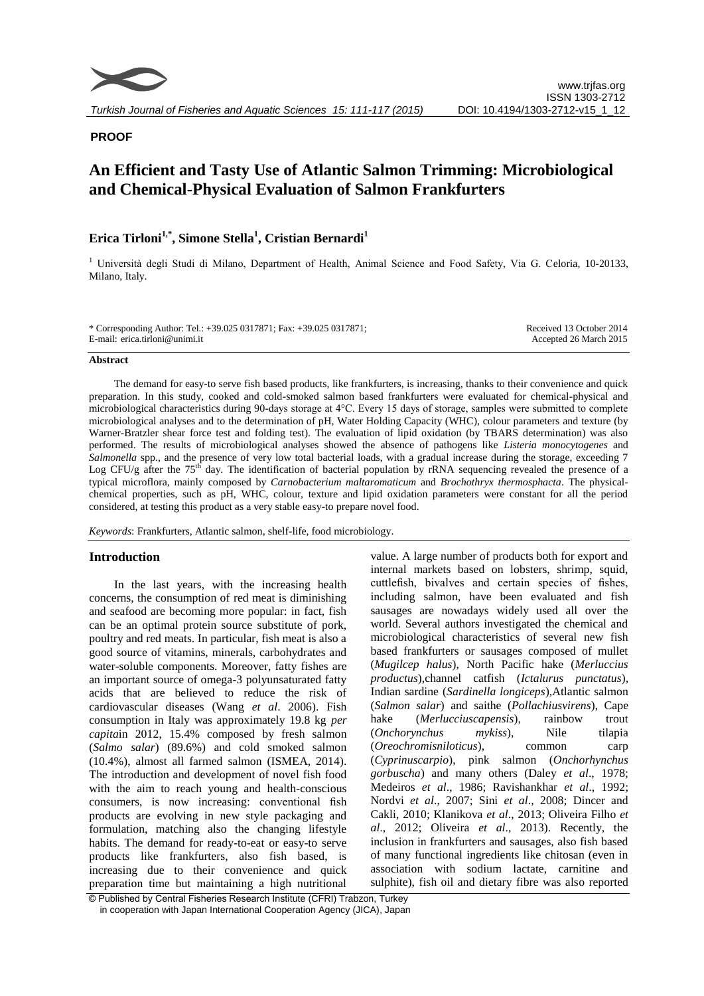

# **PROOF**

# **An Efficient and Tasty Use of Atlantic Salmon Trimming: Microbiological and Chemical-Physical Evaluation of Salmon Frankfurters**

# **Erica Tirloni1,\*, Simone Stella<sup>1</sup> , Cristian Bernardi<sup>1</sup>**

<sup>1</sup> Università degli Studi di Milano, Department of Health, Animal Science and Food Safety, Via G. Celoria, 10-20133, Milano, Italy.

\* Corresponding Author: Tel.: +39.025 0317871; Fax: +39.025 0317871; E-mail: erica.tirloni@unimi.it

Received 13 October 2014 Accepted 26 March 2015

# **Abstract**

The demand for easy-to serve fish based products, like frankfurters, is increasing, thanks to their convenience and quick preparation. In this study, cooked and cold-smoked salmon based frankfurters were evaluated for chemical-physical and microbiological characteristics during 90-days storage at 4°C. Every 15 days of storage, samples were submitted to complete microbiological analyses and to the determination of pH, Water Holding Capacity (WHC), colour parameters and texture (by Warner-Bratzler shear force test and folding test). The evaluation of lipid oxidation (by TBARS determination) was also performed. The results of microbiological analyses showed the absence of pathogens like *Listeria monocytogenes* and *Salmonella* spp., and the presence of very low total bacterial loads, with a gradual increase during the storage, exceeding 7 Log CFU/g after the  $75<sup>th</sup>$  day. The identification of bacterial population by rRNA sequencing revealed the presence of a typical microflora, mainly composed by *Carnobacterium maltaromaticum* and *Brochothryx thermosphacta*. The physicalchemical properties, such as pH, WHC, colour, texture and lipid oxidation parameters were constant for all the period considered, at testing this product as a very stable easy-to prepare novel food.

*Keywords*: Frankfurters, Atlantic salmon, shelf-life, food microbiology.

# **Introduction**

In the last years, with the increasing health concerns, the consumption of red meat is diminishing and seafood are becoming more popular: in fact, fish can be an optimal protein source substitute of pork, poultry and red meats. In particular, fish meat is also a good source of vitamins, minerals, carbohydrates and water-soluble components. Moreover, fatty fishes are an important source of omega-3 polyunsaturated fatty acids that are believed to reduce the risk of cardiovascular diseases (Wang *et al*. 2006). Fish consumption in Italy was approximately 19.8 kg *per capita*in 2012, 15.4% composed by fresh salmon (*Salmo salar*) (89.6%) and cold smoked salmon (10.4%), almost all farmed salmon (ISMEA, 2014). The introduction and development of novel fish food with the aim to reach young and health-conscious consumers, is now increasing: conventional fish products are evolving in new style packaging and formulation, matching also the changing lifestyle habits. The demand for ready-to-eat or easy-to serve products like frankfurters, also fish based, is increasing due to their convenience and quick preparation time but maintaining a high nutritional

value. A large number of products both for export and internal markets based on lobsters, shrimp, squid, cuttlefish, bivalves and certain species of fishes, including salmon, have been evaluated and fish sausages are nowadays widely used all over the world. Several authors investigated the chemical and microbiological characteristics of several new fish based frankfurters or sausages composed of mullet (*Mugilcep halus*), North Pacific hake (*Merluccius productus*),channel catfish (*Ictalurus punctatus*), Indian sardine (*Sardinella longiceps*),Atlantic salmon (*Salmon salar*) and saithe (*Pollachiusvirens*), Cape hake (*Merlucciuscapensis*), rainbow trout (*Onchorynchus mykiss*), Nile tilapia (*Oreochromisniloticus*), common carp (*Cyprinuscarpio*), pink salmon (*Onchorhynchus gorbuscha*) and many others (Daley *et al*., 1978; Medeiros *et al*., 1986; Ravishankhar *et al*., 1992; Nordvi *et al*., 2007; Sini *et al*., 2008; Dincer and Cakli, 2010; Klanikova *et al*., 2013; Oliveira Filho *et al*., 2012; Oliveira *et al*., 2013). Recently, the inclusion in frankfurters and sausages, also fish based of many functional ingredients like chitosan (even in association with sodium lactate, carnitine and sulphite), fish oil and dietary fibre was also reported

<sup>©</sup> Published by Central Fisheries Research Institute (CFRI) Trabzon, Turkey in cooperation with Japan International Cooperation Agency (JICA), Japan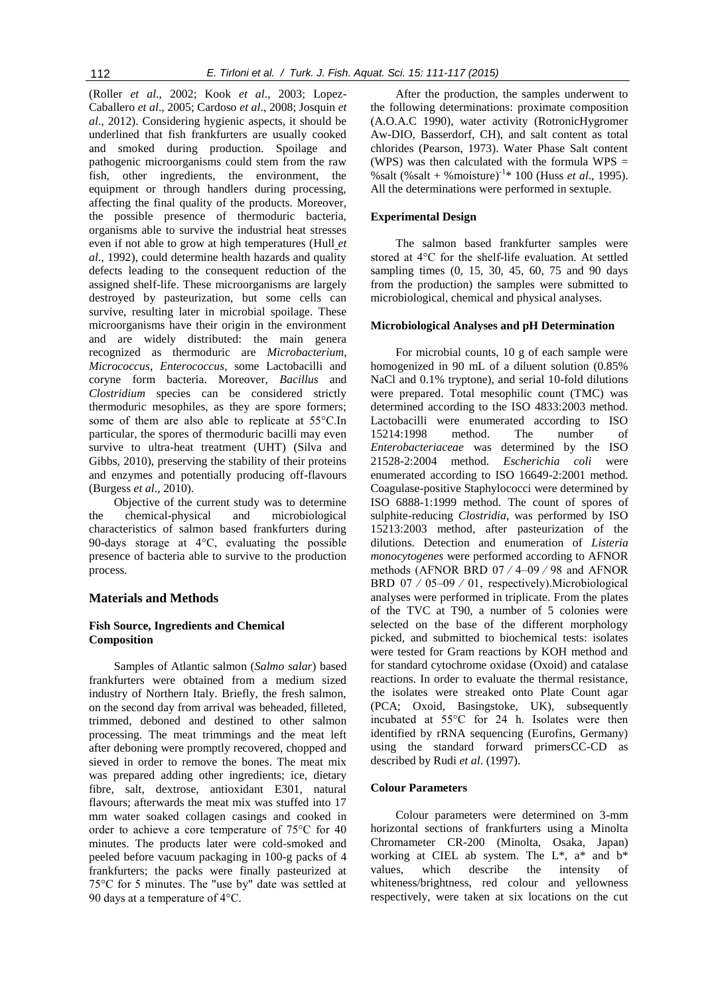(Roller *et al*., 2002; Kook *et al*., 2003; Lopez-Caballero *et al*., 2005; Cardoso *et al*., 2008; Josquin *et al*., 2012). Considering hygienic aspects, it should be underlined that fish frankfurters are usually cooked and smoked during production. Spoilage and pathogenic microorganisms could stem from the raw fish, other ingredients, the environment, the equipment or through handlers during processing, affecting the final quality of the products. Moreover, the possible presence of thermoduric bacteria, organisms able to survive the industrial heat stresses even if not able to grow at high temperatures (Hull *et al*., 1992), could determine health hazards and quality defects leading to the consequent reduction of the assigned shelf-life. These microorganisms are largely destroyed by pasteurization, but some cells can survive, resulting later in microbial spoilage. These microorganisms have their origin in the environment and are widely distributed: the main genera recognized as thermoduric are *Microbacterium*, *Micrococcus*, *Enterococcus*, some Lactobacilli and coryne form bacteria. Moreover, *Bacillus* and *Clostridium* species can be considered strictly thermoduric mesophiles, as they are spore formers; some of them are also able to replicate at 55°C.In particular, the spores of thermoduric bacilli may even survive to ultra-heat treatment (UHT) (Silva and Gibbs, 2010), preserving the stability of their proteins and enzymes and potentially producing off-flavours (Burgess *et al*., 2010).

Objective of the current study was to determine the chemical-physical and microbiological characteristics of salmon based frankfurters during 90-days storage at 4°C, evaluating the possible presence of bacteria able to survive to the production process.

#### **Materials and Methods**

# **Fish Source, Ingredients and Chemical Composition**

Samples of Atlantic salmon (*Salmo salar*) based frankfurters were obtained from a medium sized industry of Northern Italy. Briefly, the fresh salmon, on the second day from arrival was beheaded, filleted, trimmed, deboned and destined to other salmon processing. The meat trimmings and the meat left after deboning were promptly recovered, chopped and sieved in order to remove the bones. The meat mix was prepared adding other ingredients; ice, dietary fibre, salt, dextrose, antioxidant E301, natural flavours; afterwards the meat mix was stuffed into 17 mm water soaked collagen casings and cooked in order to achieve a core temperature of 75°C for 40 minutes. The products later were cold-smoked and peeled before vacuum packaging in 100-g packs of 4 frankfurters; the packs were finally pasteurized at 75°C for 5 minutes. The "use by" date was settled at 90 days at a temperature of 4°C.

After the production, the samples underwent to the following determinations: proximate composition (A.O.A.C 1990), water activity (RotronicHygromer Aw-DIO, Basserdorf, CH), and salt content as total chlorides (Pearson, 1973). Water Phase Salt content (WPS) was then calculated with the formula WPS = %salt (%salt + %moisture)-1 \* 100 (Huss *et al*., 1995). All the determinations were performed in sextuple.

# **Experimental Design**

The salmon based frankfurter samples were stored at 4°C for the shelf-life evaluation. At settled sampling times (0, 15, 30, 45, 60, 75 and 90 days from the production) the samples were submitted to microbiological, chemical and physical analyses.

#### **Microbiological Analyses and pH Determination**

For microbial counts, 10 g of each sample were homogenized in 90 mL of a diluent solution (0.85% NaCl and 0.1% tryptone), and serial 10-fold dilutions were prepared. Total mesophilic count (TMC) was determined according to the ISO 4833:2003 method. Lactobacilli were enumerated according to ISO 15214:1998 method. The number of *Enterobacteriaceae* was determined by the ISO 21528-2:2004 method. *Escherichia coli* were enumerated according to ISO 16649-2:2001 method. Coagulase-positive Staphylococci were determined by ISO 6888-1:1999 method. The count of spores of sulphite-reducing *Clostridia*, was performed by ISO 15213:2003 method, after pasteurization of the dilutions. Detection and enumeration of *Listeria monocytogenes* were performed according to AFNOR methods (AFNOR BRD 07 ⁄ 4–09 ⁄ 98 and AFNOR BRD 07 ⁄ 05–09 ⁄ 01, respectively).Microbiological analyses were performed in triplicate. From the plates of the TVC at T90, a number of 5 colonies were selected on the base of the different morphology picked, and submitted to biochemical tests: isolates were tested for Gram reactions by KOH method and for standard cytochrome oxidase (Oxoid) and catalase reactions. In order to evaluate the thermal resistance, the isolates were streaked onto Plate Count agar (PCA; Oxoid, Basingstoke, UK), subsequently incubated at 55°C for 24 h. Isolates were then identified by rRNA sequencing (Eurofins, Germany) using the standard forward primersCC-CD as described by Rudi *et al*. (1997).

#### **Colour Parameters**

Colour parameters were determined on 3-mm horizontal sections of frankfurters using a Minolta Chromameter CR-200 (Minolta, Osaka, Japan) working at CIEL ab system. The L\*, a\* and b\* values, which describe the intensity of whiteness/brightness, red colour and yellowness respectively, were taken at six locations on the cut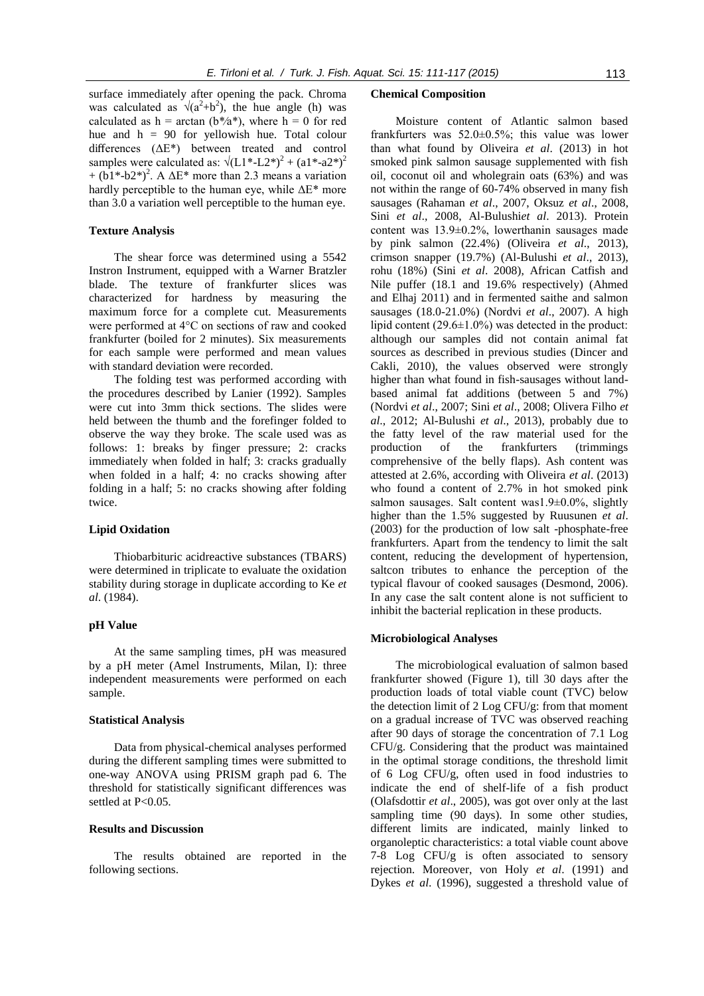surface immediately after opening the pack. Chroma was calculated as  $\sqrt{(a^2+b^2)}$ , the hue angle (h) was calculated as  $h = \arctan (b^*/a^*)$ , where  $h = 0$  for red hue and  $h = 90$  for yellowish hue. Total colour differences (ΔE\*) between treated and control samples were calculated as:  $\sqrt{(L1^* - L2^*)^2 + (a1^* - a2^*)^2}$ +  $(b1*-b2*)^2$ . A  $\Delta E^*$  more than 2.3 means a variation hardly perceptible to the human eye, while  $\Delta E^*$  more than 3.0 a variation well perceptible to the human eye.

# **Texture Analysis**

The shear force was determined using a 5542 Instron Instrument, equipped with a Warner Bratzler blade. The texture of frankfurter slices was characterized for hardness by measuring the maximum force for a complete cut. Measurements were performed at 4°C on sections of raw and cooked frankfurter (boiled for 2 minutes). Six measurements for each sample were performed and mean values with standard deviation were recorded.

The folding test was performed according with the procedures described by Lanier (1992). Samples were cut into 3mm thick sections. The slides were held between the thumb and the forefinger folded to observe the way they broke. The scale used was as follows: 1: breaks by finger pressure; 2: cracks immediately when folded in half; 3: cracks gradually when folded in a half; 4: no cracks showing after folding in a half; 5: no cracks showing after folding twice.

# **Lipid Oxidation**

Thiobarbituric acidreactive substances (TBARS) were determined in triplicate to evaluate the oxidation stability during storage in duplicate according to Ke *et al*. (1984).

# **pH Value**

At the same sampling times, pH was measured by a pH meter (Amel Instruments, Milan, I): three independent measurements were performed on each sample.

#### **Statistical Analysis**

Data from physical-chemical analyses performed during the different sampling times were submitted to one-way ANOVA using PRISM graph pad 6. The threshold for statistically significant differences was settled at P<0.05.

#### **Results and Discussion**

The results obtained are reported in the following sections.

#### **Chemical Composition**

Moisture content of Atlantic salmon based frankfurters was 52.0±0.5%; this value was lower than what found by Oliveira *et al*. (2013) in hot smoked pink salmon sausage supplemented with fish oil, coconut oil and wholegrain oats (63%) and was not within the range of 60-74% observed in many fish sausages (Rahaman *et al*., 2007, Oksuz *et al*., 2008, Sini *et al*., 2008, Al-Bulushi*et al*. 2013). Protein content was 13.9±0.2%, lowerthanin sausages made by pink salmon (22.4%) (Oliveira *et al*., 2013), crimson snapper (19.7%) (Al-Bulushi *et al*., 2013), rohu (18%) (Sini *et al*. 2008), African Catfish and Nile puffer (18.1 and 19.6% respectively) (Ahmed and Elhaj 2011) and in fermented saithe and salmon sausages (18.0-21.0%) (Nordvi *et al*., 2007). A high lipid content  $(29.6\pm1.0\%)$  was detected in the product: although our samples did not contain animal fat sources as described in previous studies (Dincer and Cakli, 2010), the values observed were strongly higher than what found in fish-sausages without landbased animal fat additions (between 5 and 7%) (Nordvi *et al*., 2007; Sini *et al*., 2008; Olivera Filho *et al*., 2012; Al-Bulushi *et al*., 2013), probably due to the fatty level of the raw material used for the production of the frankfurters (trimmings comprehensive of the belly flaps). Ash content was attested at 2.6%, according with Oliveira *et al*. (2013) who found a content of 2.7% in hot smoked pink salmon sausages. Salt content was1.9±0.0%, slightly higher than the 1.5% suggested by Ruusunen *et al*. (2003) for the production of low salt -phosphate-free frankfurters. Apart from the tendency to limit the salt content, reducing the development of hypertension, saltcon tributes to enhance the perception of the typical flavour of cooked sausages (Desmond, 2006). In any case the salt content alone is not sufficient to inhibit the bacterial replication in these products.

#### **Microbiological Analyses**

The microbiological evaluation of salmon based frankfurter showed (Figure 1), till 30 days after the production loads of total viable count (TVC) below the detection limit of 2 Log CFU/g: from that moment on a gradual increase of TVC was observed reaching after 90 days of storage the concentration of 7.1 Log CFU/g. Considering that the product was maintained in the optimal storage conditions, the threshold limit of 6 Log CFU/g, often used in food industries to indicate the end of shelf-life of a fish product (Olafsdottir *et al*., 2005), was got over only at the last sampling time (90 days). In some other studies, different limits are indicated, mainly linked to organoleptic characteristics: a total viable count above 7-8 Log CFU/g is often associated to sensory rejection. Moreover, von Holy *et al*. (1991) and Dykes *et al*. (1996), suggested a threshold value of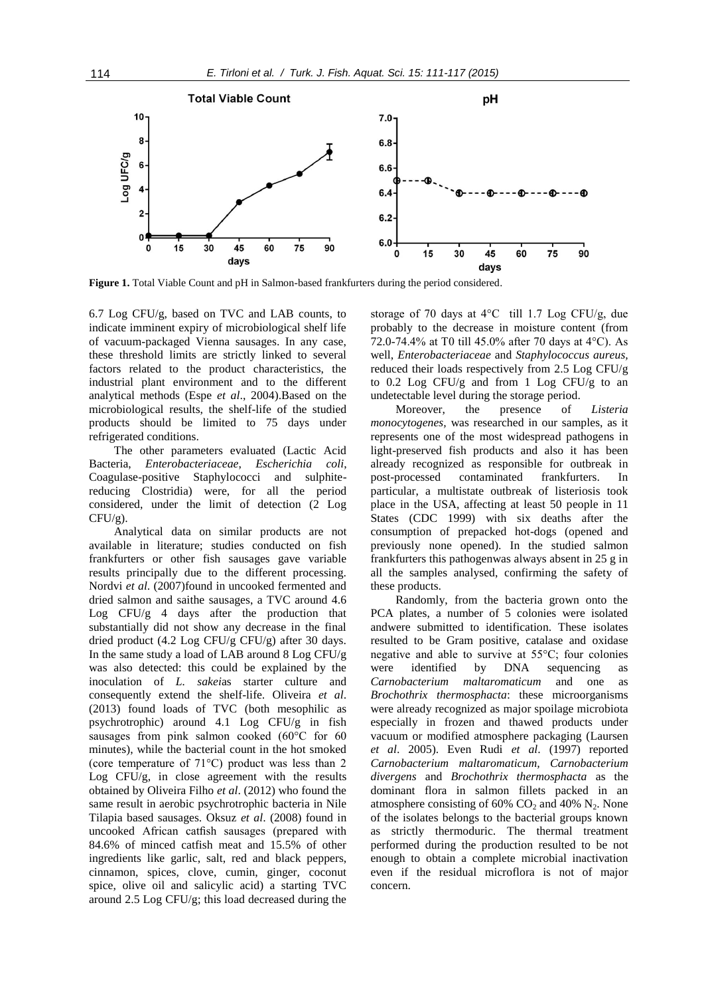

**Figure 1.** Total Viable Count and pH in Salmon-based frankfurters during the period considered.

6.7 Log CFU/g, based on TVC and LAB counts, to indicate imminent expiry of microbiological shelf life of vacuum-packaged Vienna sausages. In any case, these threshold limits are strictly linked to several factors related to the product characteristics, the industrial plant environment and to the different analytical methods (Espe *et al*., 2004).Based on the microbiological results, the shelf-life of the studied products should be limited to 75 days under refrigerated conditions.

The other parameters evaluated (Lactic Acid Bacteria, *Enterobacteriaceae*, *Escherichia coli*, Coagulase-positive Staphylococci and sulphitereducing Clostridia) were, for all the period considered, under the limit of detection (2 Log  $CFU/g$ ).

Analytical data on similar products are not available in literature; studies conducted on fish frankfurters or other fish sausages gave variable results principally due to the different processing. Nordvi *et al*. (2007)found in uncooked fermented and dried salmon and saithe sausages, a TVC around 4.6 Log CFU/g 4 days after the production that substantially did not show any decrease in the final dried product (4.2 Log CFU/g CFU/g) after 30 days. In the same study a load of LAB around 8 Log CFU/g was also detected: this could be explained by the inoculation of *L. sakei*as starter culture and consequently extend the shelf-life. Oliveira *et al*. (2013) found loads of TVC (both mesophilic as psychrotrophic) around 4.1 Log CFU/g in fish sausages from pink salmon cooked (60°C for 60 minutes), while the bacterial count in the hot smoked (core temperature of 71°C) product was less than 2 Log CFU/g, in close agreement with the results obtained by Oliveira Filho *et al*. (2012) who found the same result in aerobic psychrotrophic bacteria in Nile Tilapia based sausages. Oksuz *et al*. (2008) found in uncooked African catfish sausages (prepared with 84.6% of minced catfish meat and 15.5% of other ingredients like garlic, salt, red and black peppers, cinnamon, spices, clove, cumin, ginger, coconut spice, olive oil and salicylic acid) a starting TVC around 2.5 Log CFU/g; this load decreased during the

storage of 70 days at 4°C till 1.7 Log CFU/g, due probably to the decrease in moisture content (from 72.0-74.4% at T0 till 45.0% after 70 days at 4°C). As well, *Enterobacteriaceae* and *Staphylococcus aureus,* reduced their loads respectively from 2.5 Log CFU/g to 0.2 Log CFU/g and from 1 Log CFU/g to an undetectable level during the storage period.

Moreover, the presence of *Listeria monocytogenes,* was researched in our samples, as it represents one of the most widespread pathogens in light-preserved fish products and also it has been already recognized as responsible for outbreak in post-processed contaminated frankfurters. In particular, a multistate outbreak of listeriosis took place in the USA, affecting at least 50 people in 11 States (CDC 1999) with six deaths after the consumption of prepacked hot-dogs (opened and previously none opened). In the studied salmon frankfurters this pathogenwas always absent in 25 g in all the samples analysed, confirming the safety of these products.

Randomly, from the bacteria grown onto the PCA plates, a number of 5 colonies were isolated andwere submitted to identification. These isolates resulted to be Gram positive, catalase and oxidase negative and able to survive at 55°C; four colonies were identified by DNA sequencing as *Carnobacterium maltaromaticum* and one as *Brochothrix thermosphacta*: these microorganisms were already recognized as major spoilage microbiota especially in frozen and thawed products under vacuum or modified atmosphere packaging (Laursen *et al*. 2005). Even Rudi *et al*. (1997) reported *Carnobacterium maltaromaticum, Carnobacterium divergens* and *Brochothrix thermosphacta* as the dominant flora in salmon fillets packed in an atmosphere consisting of  $60\%$  CO<sub>2</sub> and  $40\%$  N<sub>2</sub>. None of the isolates belongs to the bacterial groups known as strictly thermoduric. The thermal treatment performed during the production resulted to be not enough to obtain a complete microbial inactivation even if the residual microflora is not of major concern.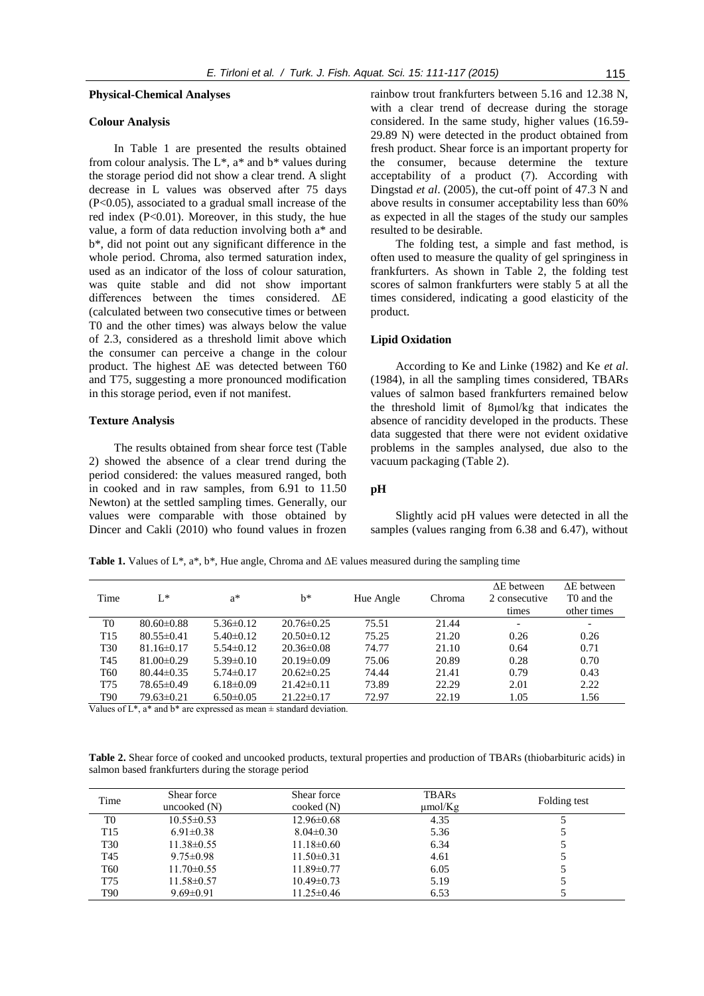#### **Physical-Chemical Analyses**

# **Colour Analysis**

In Table 1 are presented the results obtained from colour analysis. The  $L^*$ ,  $a^*$  and  $b^*$  values during the storage period did not show a clear trend. A slight decrease in L values was observed after 75 days (P<0.05), associated to a gradual small increase of the red index (P<0.01). Moreover, in this study, the hue value, a form of data reduction involving both a\* and b\*, did not point out any significant difference in the whole period. Chroma, also termed saturation index, used as an indicator of the loss of colour saturation, was quite stable and did not show important differences between the times considered. ΔE (calculated between two consecutive times or between T0 and the other times) was always below the value of 2.3, considered as a threshold limit above which the consumer can perceive a change in the colour product. The highest ΔE was detected between T60 and T75, suggesting a more pronounced modification in this storage period, even if not manifest.

# **Texture Analysis**

The results obtained from shear force test (Table 2) showed the absence of a clear trend during the period considered: the values measured ranged, both in cooked and in raw samples, from 6.91 to 11.50 Newton) at the settled sampling times. Generally, our values were comparable with those obtained by Dincer and Cakli (2010) who found values in frozen rainbow trout frankfurters between 5.16 and 12.38 N, with a clear trend of decrease during the storage considered. In the same study, higher values (16.59- 29.89 N) were detected in the product obtained from fresh product. Shear force is an important property for the consumer, because determine the texture acceptability of a product (7). According with Dingstad *et al*. (2005), the cut-off point of 47.3 N and above results in consumer acceptability less than 60% as expected in all the stages of the study our samples resulted to be desirable.

The folding test, a simple and fast method, is often used to measure the quality of gel springiness in frankfurters. As shown in Table 2, the folding test scores of salmon frankfurters were stably 5 at all the times considered, indicating a good elasticity of the product.

# **Lipid Oxidation**

According to Ke and Linke (1982) and Ke *et al*. (1984), in all the sampling times considered, TBARs values of salmon based frankfurters remained below the threshold limit of 8μmol/kg that indicates the absence of rancidity developed in the products. These data suggested that there were not evident oxidative problems in the samples analysed, due also to the vacuum packaging (Table 2).

# **pH**

Slightly acid pH values were detected in all the samples (values ranging from 6.38 and 6.47), without

**Table 1.** Values of L\*, a\*, b\*, Hue angle, Chroma and ΔE values measured during the sampling time

|                 |                  |                 |                  |           |        | $\Delta E$ between       | $\Delta E$ between     |
|-----------------|------------------|-----------------|------------------|-----------|--------|--------------------------|------------------------|
| Time            | $L^*$            | $a^*$           | $h^*$            | Hue Angle | Chroma | 2 consecutive            | T <sub>0</sub> and the |
|                 |                  |                 |                  |           |        | times                    | other times            |
| T <sub>0</sub>  | $80.60 \pm 0.88$ | $5.36\pm0.12$   | $20.76 \pm 0.25$ | 75.51     | 21.44  | $\overline{\phantom{0}}$ | -                      |
| T <sub>15</sub> | $80.55 \pm 0.41$ | $5.40\pm0.12$   | $20.50 \pm 0.12$ | 75.25     | 21.20  | 0.26                     | 0.26                   |
| <b>T30</b>      | $81.16\pm0.17$   | $5.54\pm0.12$   | $20.36\pm0.08$   | 74.77     | 21.10  | 0.64                     | 0.71                   |
| T <sub>45</sub> | $81.00 \pm 0.29$ | $5.39 \pm 0.10$ | $20.19 \pm 0.09$ | 75.06     | 20.89  | 0.28                     | 0.70                   |
| T <sub>60</sub> | $80.44\pm 0.35$  | $5.74\pm 0.17$  | $20.62\pm0.25$   | 74.44     | 21.41  | 0.79                     | 0.43                   |
| T75             | 78.65±0.49       | $6.18 \pm 0.09$ | $21.42\pm0.11$   | 73.89     | 22.29  | 2.01                     | 2.22                   |
| <b>T90</b>      | 79.63±0.21       | $6.50\pm0.05$   | $21.22\pm0.17$   | 72.97     | 22.19  | 1.05                     | 1.56                   |

Values of  $L^*$ ,  $a^*$  and  $b^*$  are expressed as mean  $\pm$  standard deviation.

**Table 2.** Shear force of cooked and uncooked products, textural properties and production of TBARs (thiobarbituric acids) in salmon based frankfurters during the storage period

| Time            | Shear force<br>uncooked $(N)$ | Shear force<br>$\text{cooked}(\text{N})$ | <b>TBARs</b><br>$\mu$ mol/Kg | Folding test |
|-----------------|-------------------------------|------------------------------------------|------------------------------|--------------|
| T <sub>0</sub>  | $10.55 \pm 0.53$              | $12.96 \pm 0.68$                         | 4.35                         |              |
| T <sub>15</sub> | $6.91 \pm 0.38$               | $8.04 \pm 0.30$                          | 5.36                         |              |
| T <sub>30</sub> | $11.38 \pm 0.55$              | $11.18 \pm 0.60$                         | 6.34                         | 5            |
| T <sub>45</sub> | $9.75 \pm 0.98$               | $11.50 \pm 0.31$                         | 4.61                         |              |
| T <sub>60</sub> | $11.70 \pm 0.55$              | $11.89 \pm 0.77$                         | 6.05                         |              |
| T75             | $11.58 \pm 0.57$              | $10.49 \pm 0.73$                         | 5.19                         |              |
| T <sub>90</sub> | $9.69 \pm 0.91$               | $11.25 \pm 0.46$                         | 6.53                         |              |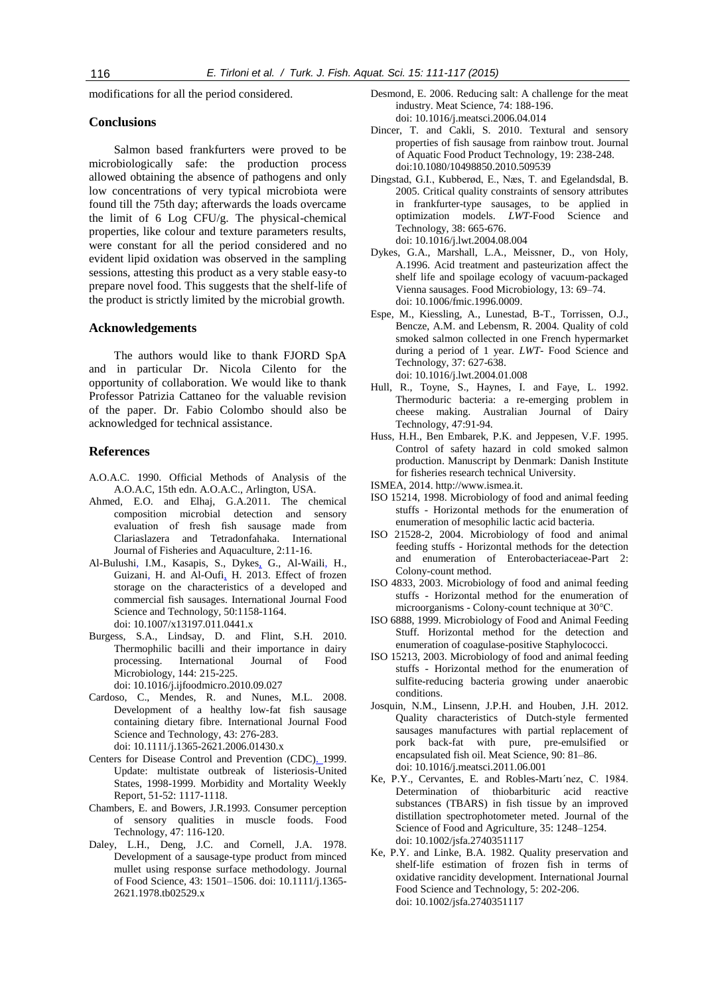modifications for all the period considered.

# **Conclusions**

Salmon based frankfurters were proved to be microbiologically safe: the production process allowed obtaining the absence of pathogens and only low concentrations of very typical microbiota were found till the 75th day; afterwards the loads overcame the limit of 6 Log CFU/g. The physical-chemical properties, like colour and texture parameters results, were constant for all the period considered and no evident lipid oxidation was observed in the sampling sessions, attesting this product as a very stable easy-to prepare novel food. This suggests that the shelf-life of the product is strictly limited by the microbial growth.

# **Acknowledgements**

The authors would like to thank FJORD SpA and in particular Dr. Nicola Cilento for the opportunity of collaboration. We would like to thank Professor Patrizia Cattaneo for the valuable revision of the paper. Dr. Fabio Colombo should also be acknowledged for technical assistance.

# **References**

- A.O.A.C. 1990. Official Methods of Analysis of the A.O.A.C, 15th edn. A.O.A.C., Arlington, USA.
- Ahmed, E.O. and Elhaj, G.A.2011. The chemical composition microbial detection and sensory evaluation of fresh fish sausage made from Clariaslazera and Tetradonfahaka. International Journal of Fisheries and Aquaculture, 2:11-16.
- Al-Bulushi, I.M., Kasapis, S., Dykes, G., Al-Waili, H., Guizani, H. and Al-Oufi, H. 2013. Effect of frozen storage on the characteristics of a developed and commercial fish sausages. International Journal Food Science and Technology*,* 50:1158-1164. doi: 10.1007/x13197.011.0441.x
- Burgess, S.A., Lindsay, D. and Flint, S.H. 2010. Thermophilic bacilli and their importance in dairy processing. International Journal of Food Microbiology, 144: 215-225. doi: 10.1016/j.ijfoodmicro.2010.09.027
- Cardoso, C., Mendes, R. and Nunes, M.L. 2008. Development of a healthy low-fat fish sausage containing dietary fibre. International Journal Food Science and Technology*,* 43: 276-283. doi: 10.1111/j.1365-2621.2006.01430.x
- Centers for Disease Control and Prevention (CDC). 1999. Update: multistate outbreak of listeriosis-United States, 1998-1999. Morbidity and Mortality Weekly Report, 51-52: 1117-1118.
- Chambers, E. and Bowers, J.R.1993. Consumer perception of sensory qualities in muscle foods. Food Technology, 47: 116-120.
- Daley, L.H., Deng, J.C. and Cornell, J.A. 1978. Development of a sausage-type product from minced mullet using response surface methodology. Journal of Food Science*,* 43: 1501–1506. doi: 10.1111/j.1365- 2621.1978.tb02529.x
- Desmond, E. 2006. Reducing salt: A challenge for the meat industry. Meat Science, 74: 188-196. doi: 10.1016/j.meatsci.2006.04.014
- Dincer, T. and Cakli, S. 2010. Textural and sensory properties of fish sausage from rainbow trout. Journal of Aquatic Food Product Technology, 19: 238-248. doi:10.1080/10498850.2010.509539
- Dingstad, G.I., Kubberød, E., Næs, T. and Egelandsdal, B. 2005. Critical quality constraints of sensory attributes in frankfurter-type sausages, to be applied in optimization models. *LWT-*Food Science and Technology, 38: 665-676. doi: 10.1016/j.lwt.2004.08.004
- Dykes, G.A., Marshall, L.A., Meissner, D., von Holy, A.1996. Acid treatment and pasteurization affect the shelf life and spoilage ecology of vacuum-packaged Vienna sausages. Food Microbiology, 13: 69–74. doi: 10.1006/fmic.1996.0009.
- Espe, M., Kiessling, A., Lunestad, B-T., Torrissen, O.J., Bencze, A.M. and Lebensm, R. 2004. Quality of cold smoked salmon collected in one French hypermarket during a period of 1 year. *LWT-* Food Science and Technology, 37: 627-638. doi: 10.1016/j.lwt.2004.01.008
- Hull, R., Toyne, S., Haynes, I. and Faye, L. 1992. Thermoduric bacteria: a re-emerging problem in cheese making. Australian Journal of Dairy Technology, 47:91-94.
- Huss, H.H., Ben Embarek, P.K. and Jeppesen, V.F. 1995. Control of safety hazard in cold smoked salmon production. Manuscript by Denmark: Danish Institute for fisheries research technical University.
- ISMEA, 2014. http://www.ismea.it.
- ISO 15214, 1998. Microbiology of food and animal feeding stuffs - Horizontal methods for the enumeration of enumeration of mesophilic lactic acid bacteria.
- ISO 21528-2, 2004. Microbiology of food and animal feeding stuffs - Horizontal methods for the detection and enumeration of Enterobacteriaceae-Part 2: Colony-count method.
- ISO 4833, 2003. Microbiology of food and animal feeding stuffs - Horizontal method for the enumeration of microorganisms - Colony-count technique at 30°C.
- ISO 6888, 1999. Microbiology of Food and Animal Feeding Stuff. Horizontal method for the detection and enumeration of coagulase-positive Staphylococci.
- ISO 15213, 2003. Microbiology of food and animal feeding stuffs - Horizontal method for the enumeration of sulfite-reducing bacteria growing under anaerobic conditions.
- Josquin, N.M., Linsenn, J.P.H. and Houben, J.H. 2012. Quality characteristics of Dutch-style fermented sausages manufactures with partial replacement of pork back-fat with pure, pre-emulsified or encapsulated fish oil. Meat Science, 90: 81–86. doi: 10.1016/j.meatsci.2011.06.001
- Ke, P.Y., Cervantes, E. and Robles-Martı´nez, C. 1984. Determination of thiobarbituric acid reactive substances (TBARS) in fish tissue by an improved distillation spectrophotometer meted. Journal of the Science of Food and Agriculture, 35: 1248–1254. doi: 10.1002/jsfa.2740351117
- Ke, P.Y. and Linke, B.A. 1982. Quality preservation and shelf-life estimation of frozen fish in terms of oxidative rancidity development. International [Journal](http://link.springer.com/journal/13197)  [Food Science and Techn](http://link.springer.com/journal/13197)ology*,* 5: 202-206. doi: 10.1002/jsfa.2740351117